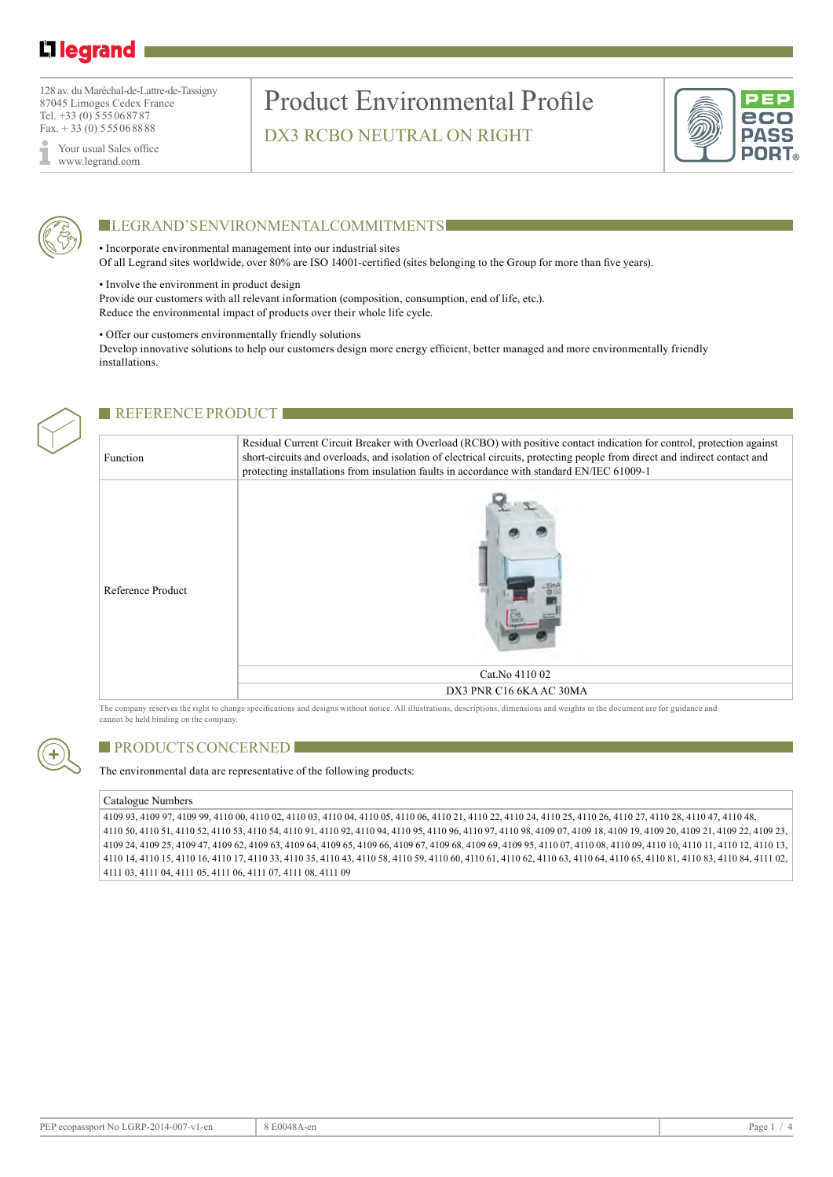# L1 legrand

128 av. du Maréchal-de-Lattre-de-Tassigny 87045 Limoges Cedex France Tel. +33 (0) 555068787 Fax.  $+33(0)$  555068888

Your usual Sales office www.legrand.com

### Product Environmental Profile DX3 RCBO NEUTRAL ON RIGHT





### **LEGRAND'S ENVIRONMENTAL COMMITMENTS**

• Incorporate environmental management into our industrial sites

Of all Legrand sites worldwide, over 80% are ISO 14001-certified (sites belonging to the Group for more than five years).

• Involve the environment in product design

Provide our customers with all relevant information (composition, consumption, end of life, etc.). Reduce the environmental impact of products over their whole life cycle.

#### • Offer our customers environmentally friendly solutions

Develop innovative solutions to help our customers design more energy efficient, better managed and more environmentally friendly installations.



#### **REFERENCE PRODUCT**

Function Residual Current Circuit Breaker with Overload (RCBO) with positive contact indication for control, protection against short-circuits and overloads, and isolation of electrical circuits, protecting people from direct and indirect contact and protecting installations from insulation faults in accordance with standard EN/IEC 61009-1



The company reserves the right to change specifications and designs without notice. All illustrations, descriptions, dimensions and weights in the document are for guidance and cannot be held binding on the company.



#### PRODUCTS CONCERNED

The environmental data are representative of the following products:

#### Catalogue Numbers

4109 93, 4109 97, 4109 99, 4110 00, 4110 02, 4110 03, 4110 04, 4110 05, 4110 06, 4110 21, 4110 22, 4110 24, 4110 25, 4110 26, 4110 27, 4110 28, 4110 47, 4110 48, 4110 50, 4110 51, 4110 52, 4110 53, 4110 54, 4110 91, 4110 92, 4110 94, 4110 95, 4110 96, 4110 97, 4110 98, 4109 07, 4109 18, 4109 19, 4109 20, 4109 21, 4109 22, 4109 23, 4109 24, 4109 25, 4109 47, 4109 62, 4109 63, 4109 64, 4109 65, 4109 66, 4109 67, 4109 68, 4109 69, 4109 95, 4110 07, 4110 08, 4110 09, 4110 10, 4110 11, 4110 12, 4110 13, 4110 14, 4110 15, 4110 16, 4110 17, 4110 33, 4110 35, 4110 43, 4110 58, 4110 59, 4110 60, 4110 61, 4110 62, 4110 63, 4110 64, 4110 65, 4110 81, 4110 83, 4110 84, 4111 02, 4111 03, 4111 04, 4111 05, 4111 06, 4111 07, 4111 08, 4111 09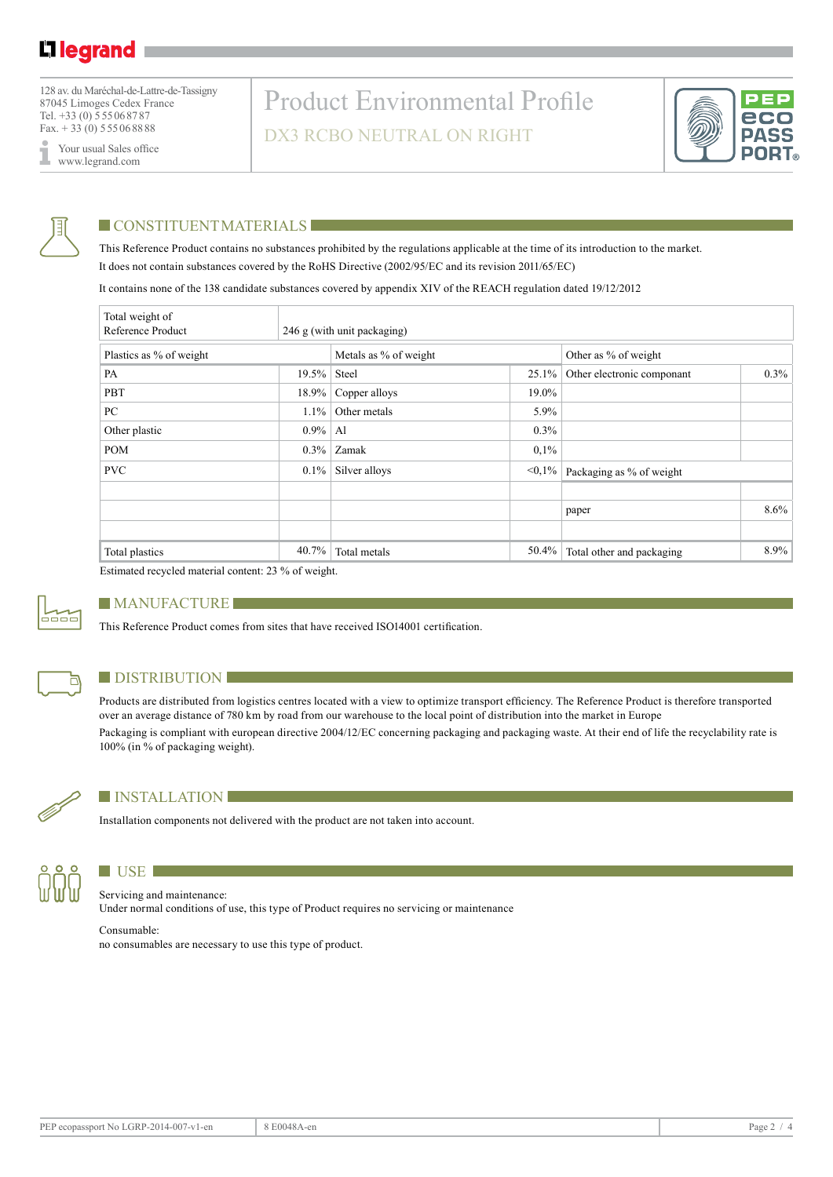128 av. du Maréchal-de-Lattre-de-Tassigny 87045 Limoges Cedex France Tel. +33 (0) 555068787 Fax.  $+33(0)$  555068888

Your usual Sales office I www.legrand.com

# Product Environmental Profile DX3 RCBO NEUTRAL ON RIGHT





### **CONSTITUENT MATERIALS**

This Reference Product contains no substances prohibited by the regulations applicable at the time of its introduction to the market. It does not contain substances covered by the RoHS Directive (2002/95/EC and its revision 2011/65/EC)

It contains none of the 138 candidate substances covered by appendix XIV of the REACH regulation dated 19/12/2012

| Total weight of<br>Reference Product |          | 246 g (with unit packaging) |           |                            |         |  |  |
|--------------------------------------|----------|-----------------------------|-----------|----------------------------|---------|--|--|
| Plastics as % of weight              |          | Metals as % of weight       |           | Other as % of weight       |         |  |  |
| PA                                   | $19.5\%$ | Steel                       | $25.1\%$  | Other electronic componant | $0.3\%$ |  |  |
| PBT                                  | 18.9%    | Copper alloys               | 19.0%     |                            |         |  |  |
| PC                                   | $1.1\%$  | Other metals                | 5.9%      |                            |         |  |  |
| Other plastic                        | $0.9\%$  | Al                          | 0.3%      |                            |         |  |  |
| <b>POM</b>                           | $0.3\%$  | Zamak                       | 0,1%      |                            |         |  |  |
| <b>PVC</b>                           | $0.1\%$  | Silver alloys               | $< 0.1\%$ | Packaging as % of weight   |         |  |  |
|                                      |          |                             |           |                            |         |  |  |
|                                      |          |                             |           | paper                      | $8.6\%$ |  |  |
|                                      |          |                             |           |                            |         |  |  |
| Total plastics                       | 40.7%    | Total metals                | 50.4%     | Total other and packaging  | $8.9\%$ |  |  |

Estimated recycled material content: 23 % of weight.



#### **MANUFACTURE**

This Reference Product comes from sites that have received ISO14001 certification.



#### **DISTRIBUTION**

Products are distributed from logistics centres located with a view to optimize transport efficiency. The Reference Product is therefore transported over an average distance of 780 km by road from our warehouse to the local point of distribution into the market in Europe Packaging is compliant with european directive 2004/12/EC concerning packaging and packaging waste. At their end of life the recyclability rate is



#### **installation**

100% (in % of packaging weight).

Installation components not delivered with the product are not taken into account.



### **LETTER**

Servicing and maintenance: Under normal conditions of use, this type of Product requires no servicing or maintenance

Consumable: no consumables are necessary to use this type of product.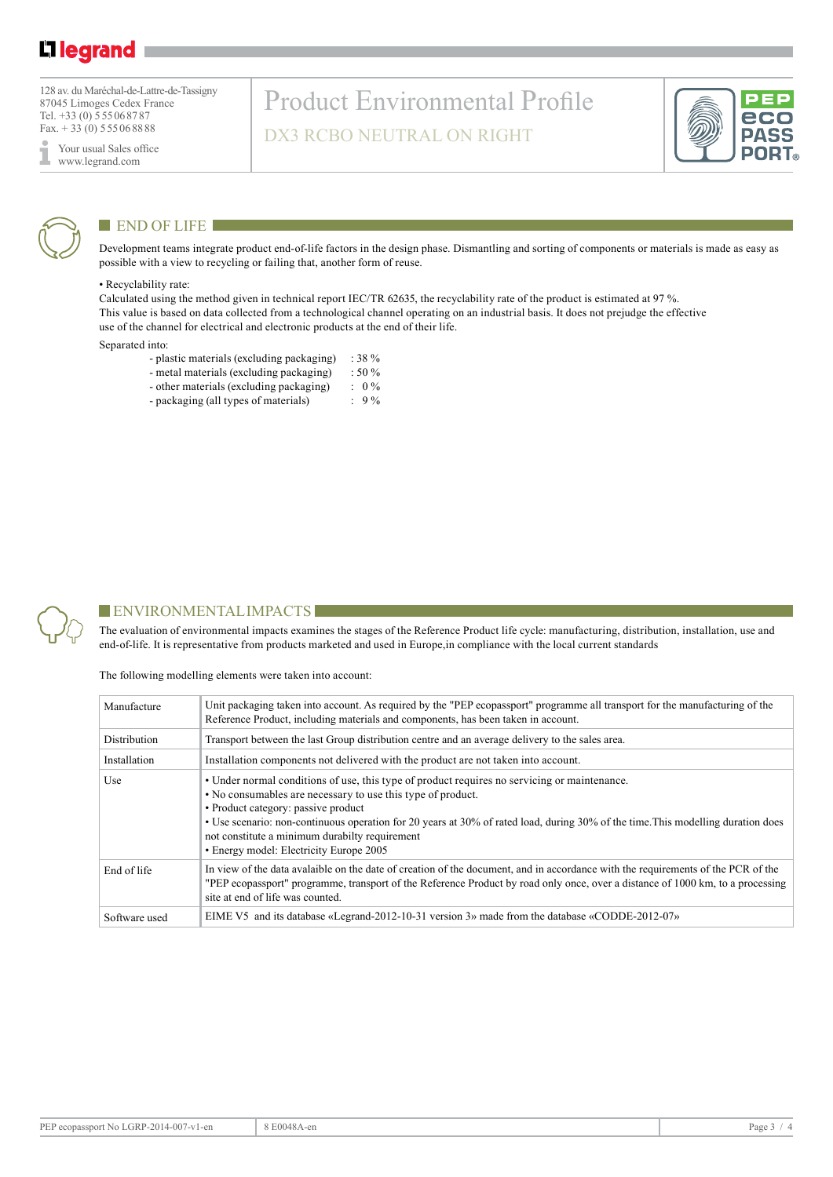## L1 legrand

128 av. du Maréchal-de-Lattre-de-Tassigny 87045 Limoges Cedex France Tel. +33 (0) 555068787 Fax.  $+33(0)$  555068888

Your usual Sales office I www.legrand.com

## Product Environmental Profile DX3 RCBO NEUTRAL ON RIGHT





### $END$  OF LIFE

Development teams integrate product end-of-life factors in the design phase. Dismantling and sorting of components or materials is made as easy as possible with a view to recycling or failing that, another form of reuse.

#### • Recyclability rate:

Calculated using the method given in technical report IEC/TR 62635, the recyclability rate of the product is estimated at 97 %. This value is based on data collected from a technological channel operating on an industrial basis. It does not prejudge the effective use of the channel for electrical and electronic products at the end of their life.

#### Separated into:

- plastic materials (excluding packaging) : 38 %
- metal materials (excluding packaging) : 50 %<br>- other materials (excluding packaging) : 0 %
- other materials (excluding packaging) : 0 %<br>- packaging (all types of materials) : 9 %
- packaging (all types of materials)



### $\blacksquare$  ENVIRONMENTAL IMPACTS

The evaluation of environmental impacts examines the stages of the Reference Product life cycle: manufacturing, distribution, installation, use and end-of-life. It is representative from products marketed and used in Europe,in compliance with the local current standards

The following modelling elements were taken into account:

| Manufacture   | Unit packaging taken into account. As required by the "PEP ecopassport" programme all transport for the manufacturing of the<br>Reference Product, including materials and components, has been taken in account.                                                                                                                                                                                                                   |
|---------------|-------------------------------------------------------------------------------------------------------------------------------------------------------------------------------------------------------------------------------------------------------------------------------------------------------------------------------------------------------------------------------------------------------------------------------------|
| Distribution  | Transport between the last Group distribution centre and an average delivery to the sales area.                                                                                                                                                                                                                                                                                                                                     |
| Installation  | Installation components not delivered with the product are not taken into account.                                                                                                                                                                                                                                                                                                                                                  |
| Use           | • Under normal conditions of use, this type of product requires no servicing or maintenance.<br>• No consumables are necessary to use this type of product.<br>• Product category: passive product<br>• Use scenario: non-continuous operation for 20 years at 30% of rated load, during 30% of the time. This modelling duration does<br>not constitute a minimum durabilty requirement<br>• Energy model: Electricity Europe 2005 |
| End of life   | In view of the data avalable on the date of creation of the document, and in accordance with the requirements of the PCR of the<br>"PEP ecopassport" programme, transport of the Reference Product by road only once, over a distance of 1000 km, to a processing<br>site at end of life was counted.                                                                                                                               |
| Software used | EIME V5 and its database «Legrand-2012-10-31 version 3» made from the database «CODDE-2012-07»                                                                                                                                                                                                                                                                                                                                      |